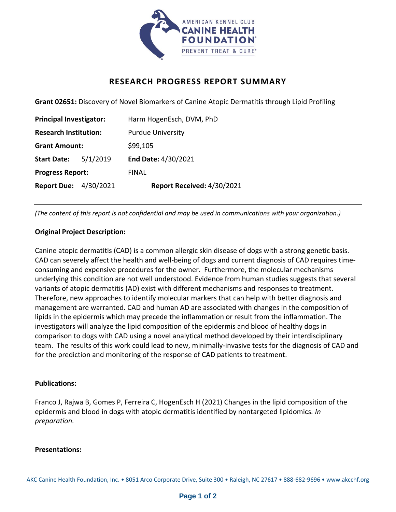

# **RESEARCH PROGRESS REPORT SUMMARY**

**Grant 02651:** Discovery of Novel Biomarkers of Canine Atopic Dermatitis through Lipid Profiling

| <b>Principal Investigator:</b> |          | Harm HogenEsch, DVM, PhD   |
|--------------------------------|----------|----------------------------|
| <b>Research Institution:</b>   |          | <b>Purdue University</b>   |
| <b>Grant Amount:</b>           |          | \$99,105                   |
| <b>Start Date:</b>             | 5/1/2019 | End Date: 4/30/2021        |
| <b>Progress Report:</b>        |          | <b>FINAL</b>               |
| <b>Report Due: 4/30/2021</b>   |          | Report Received: 4/30/2021 |

*(The content of this report is not confidential and may be used in communications with your organization.)*

### **Original Project Description:**

Canine atopic dermatitis (CAD) is a common allergic skin disease of dogs with a strong genetic basis. CAD can severely affect the health and well-being of dogs and current diagnosis of CAD requires timeconsuming and expensive procedures for the owner. Furthermore, the molecular mechanisms underlying this condition are not well understood. Evidence from human studies suggests that several variants of atopic dermatitis (AD) exist with different mechanisms and responses to treatment. Therefore, new approaches to identify molecular markers that can help with better diagnosis and management are warranted. CAD and human AD are associated with changes in the composition of lipids in the epidermis which may precede the inflammation or result from the inflammation. The investigators will analyze the lipid composition of the epidermis and blood of healthy dogs in comparison to dogs with CAD using a novel analytical method developed by their interdisciplinary team. The results of this work could lead to new, minimally-invasive tests for the diagnosis of CAD and for the prediction and monitoring of the response of CAD patients to treatment.

#### **Publications:**

Franco J, Rajwa B, Gomes P, Ferreira C, HogenEsch H (2021) Changes in the lipid composition of the epidermis and blood in dogs with atopic dermatitis identified by nontargeted lipidomics*. In preparation.*

#### **Presentations:**

AKC Canine Health Foundation, Inc. • 8051 Arco Corporate Drive, Suite 300 • Raleigh, NC 27617 • 888-682-9696 • www.akcchf.org